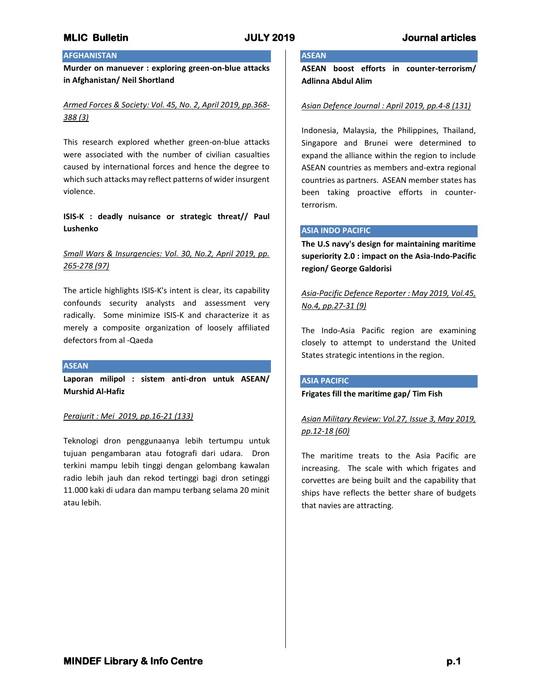## **AFGHANISTAN**

**Murder on manuever : exploring green-on-blue attacks in Afghanistan/ Neil Shortland**

## *Armed Forces & Society: Vol. 45, No. 2, April 2019, pp.368- 388 (3)*

This research explored whether green-on-blue attacks were associated with the number of civilian casualties caused by international forces and hence the degree to which such attacks may reflect patterns of wider insurgent violence.

## **ISIS-K : deadly nuisance or strategic threat// Paul Lushenko**

## *Small Wars & Insurgencies: Vol. 30, No.2, April 2019, pp. 265-278 (97)*

The article highlights ISIS-K's intent is clear, its capability confounds security analysts and assessment very radically. Some minimize ISIS-K and characterize it as merely a composite organization of loosely affiliated defectors from al -Qaeda

### **ASEAN**

**Laporan milipol : sistem anti-dron untuk ASEAN/ Murshid Al-Hafiz**

### *Perajurit : Mei 2019, pp.16-21 (133)*

Teknologi dron penggunaanya lebih tertumpu untuk tujuan pengambaran atau fotografi dari udara. Dron terkini mampu lebih tinggi dengan gelombang kawalan radio lebih jauh dan rekod tertinggi bagi dron setinggi 11.000 kaki di udara dan mampu terbang selama 20 minit atau lebih.

# **ASEAN**

**ASEAN boost efforts in counter-terrorism/ Adlinna Abdul Alim**

### *Asian Defence Journal : April 2019, pp.4-8 (131)*

Indonesia, Malaysia, the Philippines, Thailand, Singapore and Brunei were determined to expand the alliance within the region to include ASEAN countries as members and-extra regional countries as partners. ASEAN member states has been taking proactive efforts in counterterrorism.

### **ASIA INDO PACIFIC**

**The U.S navy's design for maintaining maritime superiority 2.0 : impact on the Asia-Indo-Pacific region/ George Galdorisi**

*Asia-Pacific Defence Reporter : May 2019, Vol.45, No.4, pp.27-31 (9)*

The Indo-Asia Pacific region are examining closely to attempt to understand the United States strategic intentions in the region.

### **ASIA PACIFIC**

### **Frigates fill the maritime gap/ Tim Fish**

*Asian Military Review: Vol.27, Issue 3, May 2019, pp.12-18 (60)*

The maritime treats to the Asia Pacific are increasing. The scale with which frigates and corvettes are being built and the capability that ships have reflects the better share of budgets that navies are attracting.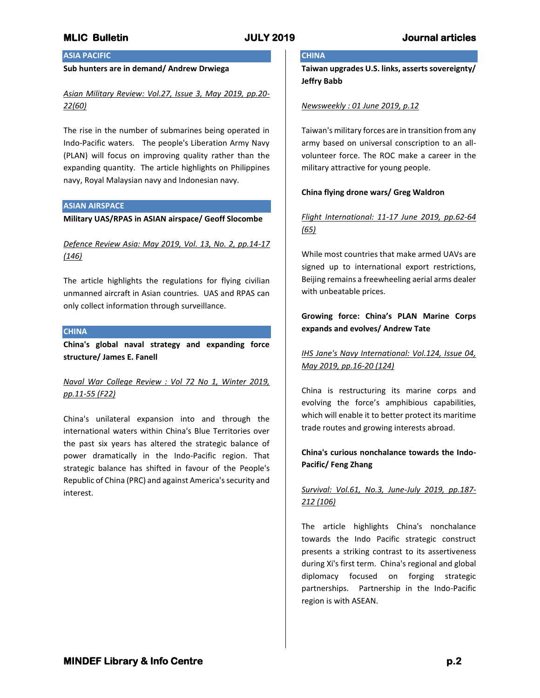# **ASIA PACIFIC**

## **Sub hunters are in demand/ Andrew Drwiega**

## *Asian Military Review: Vol.27, Issue 3, May 2019, pp.20- 22(60)*

The rise in the number of submarines being operated in Indo-Pacific waters. The people's Liberation Army Navy (PLAN) will focus on improving quality rather than the expanding quantity. The article highlights on Philippines navy, Royal Malaysian navy and Indonesian navy.

### **ASIAN AIRSPACE**

**Military UAS/RPAS in ASIAN airspace/ Geoff Slocombe**

*Defence Review Asia: May 2019, Vol. 13, No. 2, pp.14-17 (146)*

The article highlights the regulations for flying civilian unmanned aircraft in Asian countries. UAS and RPAS can only collect information through surveillance.

## **CHINA**

**China's global naval strategy and expanding force structure/ James E. Fanell**

*Naval War College Review : Vol 72 No 1, Winter 2019, pp.11-55 (F22)*

China's unilateral expansion into and through the international waters within China's Blue Territories over the past six years has altered the strategic balance of power dramatically in the Indo-Pacific region. That strategic balance has shifted in favour of the People's Republic of China (PRC) and against America's security and interest.

# **CHINA**

**Taiwan upgrades U.S. links, asserts sovereignty/ Jeffry Babb**

## *Newsweekly : 01 June 2019, p.12*

Taiwan's military forces are in transition from any army based on universal conscription to an allvolunteer force. The ROC make a career in the military attractive for young people.

### **China flying drone wars/ Greg Waldron**

# *Flight International: 11-17 June 2019, pp.62-64 (65)*

While most countries that make armed UAVs are signed up to international export restrictions, Beijing remains a freewheeling aerial arms dealer with unbeatable prices.

## **Growing force: China's PLAN Marine Corps expands and evolves/ Andrew Tate**

*IHS Jane's Navy International: Vol.124, Issue 04, May 2019, pp.16-20 (124)*

China is restructuring its marine corps and evolving the force's amphibious capabilities, which will enable it to better protect its maritime trade routes and growing interests abroad.

## **China's curious nonchalance towards the Indo-Pacific/ Feng Zhang**

# *Survival: Vol.61, No.3, June-July 2019, pp.187- 212 (106)*

The article highlights China's nonchalance towards the Indo Pacific strategic construct presents a striking contrast to its assertiveness during Xi's first term. China's regional and global diplomacy focused on forging strategic partnerships. Partnership in the Indo-Pacific region is with ASEAN.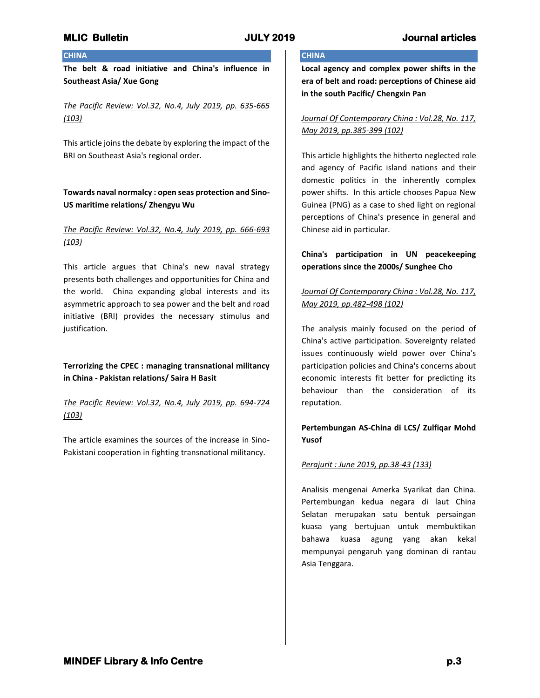## **CHINA**

**The belt & road initiative and China's influence in Southeast Asia/ Xue Gong**

*The Pacific Review: Vol.32, No.4, July 2019, pp. 635-665 (103)*

This article joins the debate by exploring the impact of the BRI on Southeast Asia's regional order.

## **Towards naval normalcy : open seas protection and Sino-US maritime relations/ Zhengyu Wu**

## *The Pacific Review: Vol.32, No.4, July 2019, pp. 666-693 (103)*

This article argues that China's new naval strategy presents both challenges and opportunities for China and the world. China expanding global interests and its asymmetric approach to sea power and the belt and road initiative (BRI) provides the necessary stimulus and justification.

## **Terrorizing the CPEC : managing transnational militancy in China - Pakistan relations/ Saira H Basit**

*The Pacific Review: Vol.32, No.4, July 2019, pp. 694-724 (103)*

The article examines the sources of the increase in Sino-Pakistani cooperation in fighting transnational militancy.

## **CHINA**

**Local agency and complex power shifts in the era of belt and road: perceptions of Chinese aid in the south Pacific/ Chengxin Pan**

## *Journal Of Contemporary China : Vol.28, No. 117, May 2019, pp.385-399 (102)*

This article highlights the hitherto neglected role and agency of Pacific island nations and their domestic politics in the inherently complex power shifts. In this article chooses Papua New Guinea (PNG) as a case to shed light on regional perceptions of China's presence in general and Chinese aid in particular.

## **China's participation in UN peacekeeping operations since the 2000s/ Sunghee Cho**

# *Journal Of Contemporary China : Vol.28, No. 117, May 2019, pp.482-498 (102)*

The analysis mainly focused on the period of China's active participation. Sovereignty related issues continuously wield power over China's participation policies and China's concerns about economic interests fit better for predicting its behaviour than the consideration of its reputation.

## **Pertembungan AS-China di LCS/ Zulfiqar Mohd Yusof**

## *Perajurit : June 2019, pp.38-43 (133)*

Analisis mengenai Amerka Syarikat dan China. Pertembungan kedua negara di laut China Selatan merupakan satu bentuk persaingan kuasa yang bertujuan untuk membuktikan bahawa kuasa agung yang akan kekal mempunyai pengaruh yang dominan di rantau Asia Tenggara.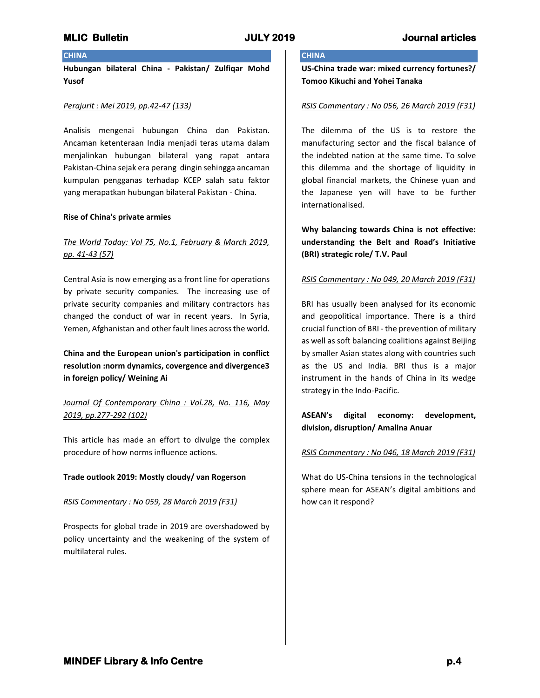## **CHINA**

**Hubungan bilateral China - Pakistan/ Zulfiqar Mohd Yusof**

#### *Perajurit : Mei 2019, pp.42-47 (133)*

Analisis mengenai hubungan China dan Pakistan. Ancaman ketenteraan India menjadi teras utama dalam menjalinkan hubungan bilateral yang rapat antara Pakistan-China sejak era perang dingin sehingga ancaman kumpulan pengganas terhadap KCEP salah satu faktor yang merapatkan hubungan bilateral Pakistan - China.

### **Rise of China's private armies**

## *The World Today: Vol 75, No.1, February & March 2019, pp. 41-43 (57)*

Central Asia is now emerging as a front line for operations by private security companies. The increasing use of private security companies and military contractors has changed the conduct of war in recent years. In Syria, Yemen, Afghanistan and other fault lines across the world.

**China and the European union's participation in conflict resolution :norm dynamics, covergence and divergence3 in foreign policy/ Weining Ai**

## *Journal Of Contemporary China : Vol.28, No. 116, May 2019, pp.277-292 (102)*

This article has made an effort to divulge the complex procedure of how norms influence actions.

### **Trade outlook 2019: Mostly cloudy/ van Rogerson**

### *RSIS Commentary : No 059, 28 March 2019 (F31)*

Prospects for global trade in 2019 are overshadowed by policy uncertainty and the weakening of the system of multilateral rules.

# **CHINA**

**US-China trade war: mixed currency fortunes?/ Tomoo Kikuchi and Yohei Tanaka**

## *RSIS Commentary : No 056, 26 March 2019 (F31)*

The dilemma of the US is to restore the manufacturing sector and the fiscal balance of the indebted nation at the same time. To solve this dilemma and the shortage of liquidity in global financial markets, the Chinese yuan and the Japanese yen will have to be further internationalised.

**Why balancing towards China is not effective: understanding the Belt and Road's Initiative (BRI) strategic role/ T.V. Paul**

#### *RSIS Commentary : No 049, 20 March 2019 (F31)*

BRI has usually been analysed for its economic and geopolitical importance. There is a third crucial function of BRI - the prevention of military as well as soft balancing coalitions against Beijing by smaller Asian states along with countries such as the US and India. BRI thus is a major instrument in the hands of China in its wedge strategy in the Indo-Pacific.

## **ASEAN's digital economy: development, division, disruption/ Amalina Anuar**

### *RSIS Commentary : No 046, 18 March 2019 (F31)*

What do US-China tensions in the technological sphere mean for ASEAN's digital ambitions and how can it respond?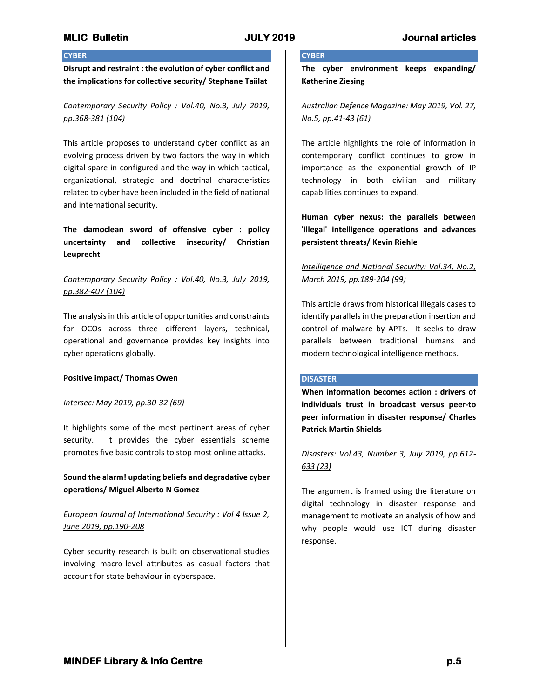## **CYBER**

**Disrupt and restraint : the evolution of cyber conflict and the implications for collective security/ Stephane Taiilat**

*Contemporary Security Policy : Vol.40, No.3, July 2019, pp.368-381 (104)*

This article proposes to understand cyber conflict as an evolving process driven by two factors the way in which digital spare in configured and the way in which tactical, organizational, strategic and doctrinal characteristics related to cyber have been included in the field of national and international security.

**The damoclean sword of offensive cyber : policy uncertainty and collective insecurity/ Christian Leuprecht**

*Contemporary Security Policy : Vol.40, No.3, July 2019, pp.382-407 (104)*

The analysis in this article of opportunities and constraints for OCOs across three different layers, technical, operational and governance provides key insights into cyber operations globally.

### **Positive impact/ Thomas Owen**

## *Intersec: May 2019, pp.30-32 (69)*

It highlights some of the most pertinent areas of cyber security. It provides the cyber essentials scheme promotes five basic controls to stop most online attacks.

## **Sound the alarm! updating beliefs and degradative cyber operations/ Miguel Alberto N Gomez**

## *European Journal of International Security : Vol 4 Issue 2, June 2019, pp.190-208*

Cyber security research is built on observational studies involving macro-level attributes as casual factors that account for state behaviour in cyberspace.

# **CYBER**

**The cyber environment keeps expanding/ Katherine Ziesing**

*Australian Defence Magazine: May 2019, Vol. 27, No.5, pp.41-43 (61)*

The article highlights the role of information in contemporary conflict continues to grow in importance as the exponential growth of IP technology in both civilian and military capabilities continues to expand.

**Human cyber nexus: the parallels between 'illegal' intelligence operations and advances persistent threats/ Kevin Riehle**

## *Intelligence and National Security: Vol.34, No.2, March 2019, pp.189-204 (99)*

This article draws from historical illegals cases to identify parallels in the preparation insertion and control of malware by APTs. It seeks to draw parallels between traditional humans and modern technological intelligence methods.

### **DISASTER**

**When information becomes action : drivers of individuals trust in broadcast versus peer-to peer information in disaster response/ Charles Patrick Martin Shields**

## *Disasters: Vol.43, Number 3, July 2019, pp.612- 633 (23)*

The argument is framed using the literature on digital technology in disaster response and management to motivate an analysis of how and why people would use ICT during disaster response.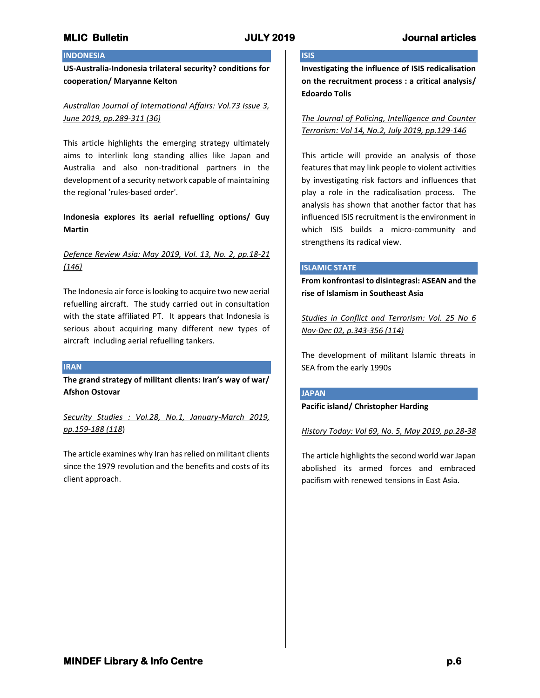## **INDONESIA**

**US-Australia-Indonesia trilateral security? conditions for cooperation/ Maryanne Kelton**

## *Australian Journal of International Affairs: Vol.73 Issue 3, June 2019, pp.289-311 (36)*

This article highlights the emerging strategy ultimately aims to interlink long standing allies like Japan and Australia and also non-traditional partners in the development of a security network capable of maintaining the regional 'rules-based order'.

## **Indonesia explores its aerial refuelling options/ Guy Martin**

## *Defence Review Asia: May 2019, Vol. 13, No. 2, pp.18-21 (146)*

The Indonesia air force is looking to acquire two new aerial refuelling aircraft. The study carried out in consultation with the state affiliated PT. It appears that Indonesia is serious about acquiring many different new types of aircraft including aerial refuelling tankers.

## **IRAN**

**The grand strategy of militant clients: Iran's way of war/ Afshon Ostovar**

*Security Studies : Vol.28, No.1, January-March 2019, pp.159-188 (118*)

The article examines why Iran has relied on militant clients since the 1979 revolution and the benefits and costs of its client approach.

# **ISIS**

**Investigating the influence of ISIS redicalisation on the recruitment process : a critical analysis/ Edoardo Tolis**

*The Journal of Policing, Intelligence and Counter Terrorism: Vol 14, No.2, July 2019, pp.129-146*

This article will provide an analysis of those features that may link people to violent activities by investigating risk factors and influences that play a role in the radicalisation process. The analysis has shown that another factor that has influenced ISIS recruitment is the environment in which ISIS builds a micro-community and strengthens its radical view.

### **ISLAMIC STATE**

**From konfrontasi to disintegrasi: ASEAN and the rise of Islamism in Southeast Asia**

*Studies in Conflict and Terrorism: Vol. 25 No 6 Nov-Dec 02, p.343-356 (114)*

The development of militant Islamic threats in SEA from the early 1990s

### **JAPAN**

**Pacific island/ Christopher Harding**

*History Today: Vol 69, No. 5, May 2019, pp.28-38*

The article highlights the second world war Japan abolished its armed forces and embraced pacifism with renewed tensions in East Asia.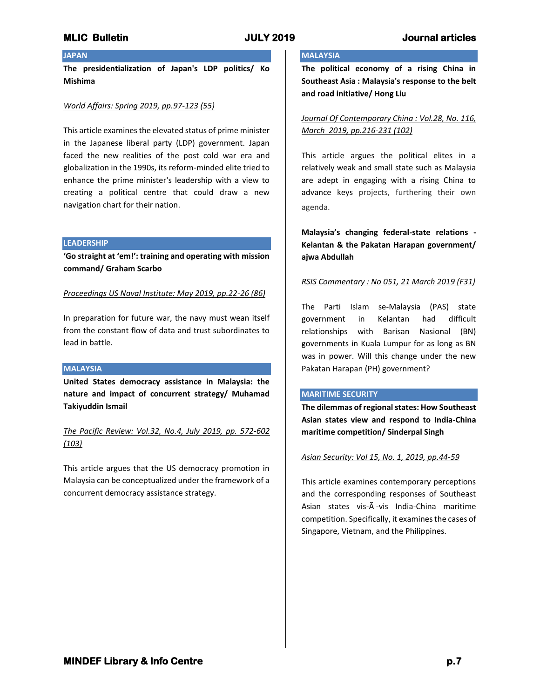## **JAPAN**

**The presidentialization of Japan's LDP politics/ Ko Mishima**

### *World Affairs: Spring 2019, pp.97-123 (55)*

This article examines the elevated status of prime minister in the Japanese liberal party (LDP) government. Japan faced the new realities of the post cold war era and globalization in the 1990s, its reform-minded elite tried to enhance the prime minister's leadership with a view to creating a political centre that could draw a new navigation chart for their nation.

#### **LEADERSHIP**

**'Go straight at 'em!': training and operating with mission command/ Graham Scarbo**

*Proceedings US Naval Institute: May 2019, pp.22-26 (86)*

In preparation for future war, the navy must wean itself from the constant flow of data and trust subordinates to lead in battle.

## **MALAYSIA**

**United States democracy assistance in Malaysia: the nature and impact of concurrent strategy/ Muhamad Takiyuddin Ismail**

*The Pacific Review: Vol.32, No.4, July 2019, pp. 572-602 (103)*

This article argues that the US democracy promotion in Malaysia can be conceptualized under the framework of a concurrent democracy assistance strategy.

## **MALAYSIA**

**The political economy of a rising China in Southeast Asia : Malaysia's response to the belt and road initiative/ Hong Liu**

*Journal Of Contemporary China : Vol.28, No. 116, March 2019, pp.216-231 (102)*

This article argues the political elites in a relatively weak and small state such as Malaysia are adept in engaging with a rising China to advance keys projects, furthering their own agenda.

**Malaysia's changing federal-state relations - Kelantan & the Pakatan Harapan government/ ajwa Abdullah**

#### *RSIS Commentary : No 051, 21 March 2019 (F31)*

The Parti Islam se-Malaysia (PAS) state government in Kelantan had difficult relationships with Barisan Nasional (BN) governments in Kuala Lumpur for as long as BN was in power. Will this change under the new Pakatan Harapan (PH) government?

### **MARITIME SECURITY**

**The dilemmas of regional states: How Southeast Asian states view and respond to India-China maritime competition/ Sinderpal Singh**

### *Asian Security: Vol 15, No. 1, 2019, pp.44-59*

This article examines contemporary perceptions and the corresponding responses of Southeast Asian states vis-Ã -vis India-China maritime competition. Specifically, it examines the cases of Singapore, Vietnam, and the Philippines.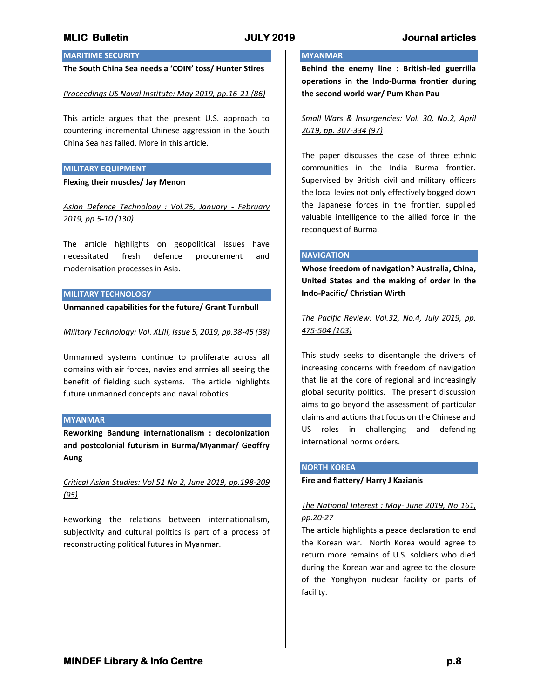## **MARITIME SECURITY**

## **The South China Sea needs a 'COIN' toss/ Hunter Stires**

#### *Proceedings US Naval Institute: May 2019, pp.16-21 (86)*

This article argues that the present U.S. approach to countering incremental Chinese aggression in the South China Sea has failed. More in this article.

#### **MILITARY EQUIPMENT**

**Flexing their muscles/ Jay Menon**

*Asian Defence Technology : Vol.25, January - February 2019, pp.5-10 (130)*

The article highlights on geopolitical issues have necessitated fresh defence procurement and modernisation processes in Asia.

#### **MILITARY TECHNOLOGY**

**Unmanned capabilities for the future/ Grant Turnbull**

#### *Military Technology: Vol. XLIII, Issue 5, 2019, pp.38-45 (38)*

Unmanned systems continue to proliferate across all domains with air forces, navies and armies all seeing the benefit of fielding such systems. The article highlights future unmanned concepts and naval robotics

#### **MYANMAR**

**Reworking Bandung internationalism : decolonization and postcolonial futurism in Burma/Myanmar/ Geoffry Aung**

*Critical Asian Studies: Vol 51 No 2, June 2019, pp.198-209 (95)*

Reworking the relations between internationalism, subjectivity and cultural politics is part of a process of reconstructing political futures in Myanmar.

## **MYANMAR**

**Behind the enemy line : British-led guerrilla operations in the Indo-Burma frontier during the second world war/ Pum Khan Pau**

*Small Wars & Insurgencies: Vol. 30, No.2, April 2019, pp. 307-334 (97)*

The paper discusses the case of three ethnic communities in the India Burma frontier. Supervised by British civil and military officers the local levies not only effectively bogged down the Japanese forces in the frontier, supplied valuable intelligence to the allied force in the reconquest of Burma.

#### **NAVIGATION**

**Whose freedom of navigation? Australia, China, United States and the making of order in the Indo-Pacific/ Christian Wirth**

*The Pacific Review: Vol.32, No.4, July 2019, pp. 475-504 (103)*

This study seeks to disentangle the drivers of increasing concerns with freedom of navigation that lie at the core of regional and increasingly global security politics. The present discussion aims to go beyond the assessment of particular claims and actions that focus on the Chinese and US roles in challenging and defending international norms orders.

#### **NORTH KOREA**

**Fire and flattery/ Harry J Kazianis**

## *The National Interest : May- June 2019, No 161, pp.20-27*

The article highlights a peace declaration to end the Korean war. North Korea would agree to return more remains of U.S. soldiers who died during the Korean war and agree to the closure of the Yonghyon nuclear facility or parts of facility.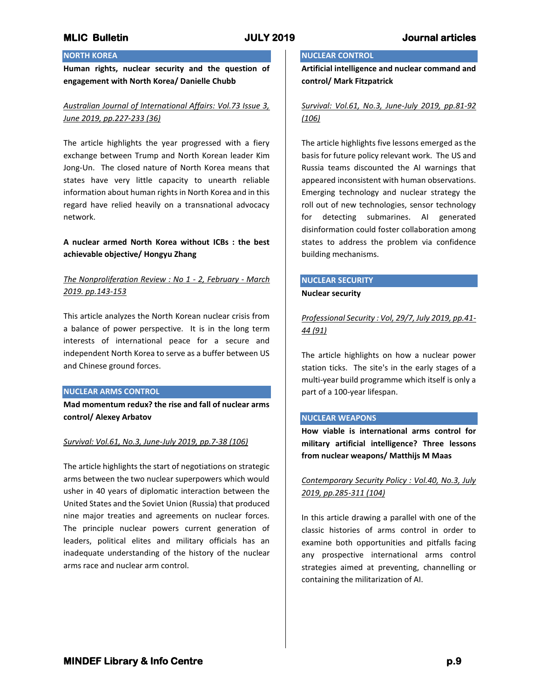# **NORTH KOREA**

**Human rights, nuclear security and the question of engagement with North Korea/ Danielle Chubb**

## *Australian Journal of International Affairs: Vol.73 Issue 3, June 2019, pp.227-233 (36)*

The article highlights the year progressed with a fiery exchange between Trump and North Korean leader Kim Jong-Un. The closed nature of North Korea means that states have very little capacity to unearth reliable information about human rights in North Korea and in this regard have relied heavily on a transnational advocacy network.

## **A nuclear armed North Korea without ICBs : the best achievable objective/ Hongyu Zhang**

## *The Nonproliferation Review : No 1 - 2, February - March 2019. pp.143-153*

This article analyzes the North Korean nuclear crisis from a balance of power perspective. It is in the long term interests of international peace for a secure and independent North Korea to serve as a buffer between US and Chinese ground forces.

### **NUCLEAR ARMS CONTROL**

**Mad momentum redux? the rise and fall of nuclear arms control/ Alexey Arbatov**

### *Survival: Vol.61, No.3, June-July 2019, pp.7-38 (106)*

The article highlights the start of negotiations on strategic arms between the two nuclear superpowers which would usher in 40 years of diplomatic interaction between the United States and the Soviet Union (Russia) that produced nine major treaties and agreements on nuclear forces. The principle nuclear powers current generation of leaders, political elites and military officials has an inadequate understanding of the history of the nuclear arms race and nuclear arm control.

## **NUCLEAR CONTROL**

**Artificial intelligence and nuclear command and control/ Mark Fitzpatrick**

## *Survival: Vol.61, No.3, June-July 2019, pp.81-92 (106)*

The article highlights five lessons emerged as the basis for future policy relevant work. The US and Russia teams discounted the AI warnings that appeared inconsistent with human observations. Emerging technology and nuclear strategy the roll out of new technologies, sensor technology for detecting submarines. AI generated disinformation could foster collaboration among states to address the problem via confidence building mechanisms.

## **NUCLEAR SECURITY**

### **Nuclear security**

*Professional Security : Vol, 29/7, July 2019, pp.41- 44 (91)*

The article highlights on how a nuclear power station ticks. The site's in the early stages of a multi-year build programme which itself is only a part of a 100-year lifespan.

### **NUCLEAR WEAPONS**

**How viable is international arms control for military artificial intelligence? Three lessons from nuclear weapons/ Matthijs M Maas**

## *Contemporary Security Policy : Vol.40, No.3, July 2019, pp.285-311 (104)*

In this article drawing a parallel with one of the classic histories of arms control in order to examine both opportunities and pitfalls facing any prospective international arms control strategies aimed at preventing, channelling or containing the militarization of AI.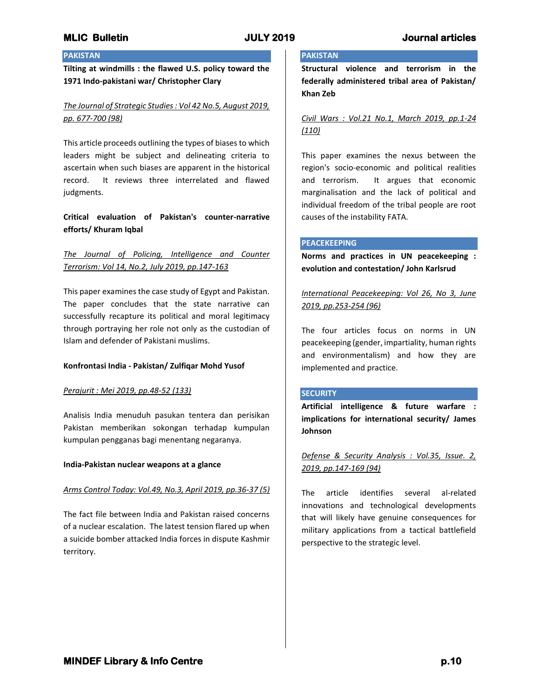## **PAKISTAN**

**Tilting at windmills : the flawed U.S. policy toward the 1971 Indo-pakistani war/ Christopher Clary**

## *The Journal of Strategic Studies : Vol 42 No.5, August 2019, pp. 677-700 (98)*

This article proceeds outlining the types of biases to which leaders might be subject and delineating criteria to ascertain when such biases are apparent in the historical record. It reviews three interrelated and flawed judgments.

## **Critical evaluation of Pakistan's counter-narrative efforts/ Khuram Iqbal**

# *The Journal of Policing, Intelligence and Counter Terrorism: Vol 14, No.2, July 2019, pp.147-163*

This paper examines the case study of Egypt and Pakistan. The paper concludes that the state narrative can successfully recapture its political and moral legitimacy through portraying her role not only as the custodian of Islam and defender of Pakistani muslims.

## **Konfrontasi India - Pakistan/ Zulfiqar Mohd Yusof**

### *Perajurit : Mei 2019, pp.48-52 (133)*

Analisis India menuduh pasukan tentera dan perisikan Pakistan memberikan sokongan terhadap kumpulan kumpulan pengganas bagi menentang negaranya.

### **India-Pakistan nuclear weapons at a glance**

### *Arms Control Today: Vol.49, No.3, April 2019, pp.36-37 (5)*

The fact file between India and Pakistan raised concerns of a nuclear escalation. The latest tension flared up when a suicide bomber attacked India forces in dispute Kashmir territory.

# **PAKISTAN**

**Structural violence and terrorism in the federally administered tribal area of Pakistan/ Khan Zeb**

## *Civil Wars : Vol.21 No.1, March 2019, pp.1-24 (110)*

This paper examines the nexus between the region's socio-economic and political realities and terrorism. It argues that economic marginalisation and the lack of political and individual freedom of the tribal people are root causes of the instability FATA.

### **PEACEKEEPING**

**Norms and practices in UN peacekeeping : evolution and contestation/ John Karlsrud**

*International Peacekeeping: Vol 26, No 3, June 2019, pp.253-254 (96)*

The four articles focus on norms in UN peacekeeping (gender, impartiality, human rights and environmentalism) and how they are implemented and practice.

### **SECURITY**

**Artificial intelligence & future warfare : implications for international security/ James Johnson**

*Defense & Security Analysis : Vol.35, Issue. 2, 2019, pp.147-169 (94)*

The article identifies several al-related innovations and technological developments that will likely have genuine consequences for military applications from a tactical battlefield perspective to the strategic level.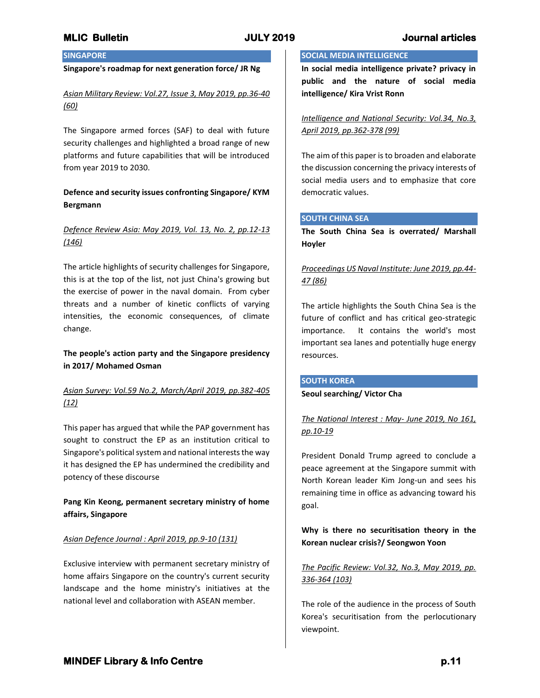## **MLIC Bulletin JULY 2019 Journal articles**

## **SINGAPORE**

### **Singapore's roadmap for next generation force/ JR Ng**

*Asian Military Review: Vol.27, Issue 3, May 2019, pp.36-40 (60)*

The Singapore armed forces (SAF) to deal with future security challenges and highlighted a broad range of new platforms and future capabilities that will be introduced from year 2019 to 2030.

## **Defence and security issues confronting Singapore/ KYM Bergmann**

## *Defence Review Asia: May 2019, Vol. 13, No. 2, pp.12-13 (146)*

The article highlights of security challenges for Singapore, this is at the top of the list, not just China's growing but the exercise of power in the naval domain. From cyber threats and a number of kinetic conflicts of varying intensities, the economic consequences, of climate change.

## **The people's action party and the Singapore presidency in 2017/ Mohamed Osman**

## *Asian Survey: Vol.59 No.2, March/April 2019, pp.382-405 (12)*

This paper has argued that while the PAP government has sought to construct the EP as an institution critical to Singapore's political system and national interests the way it has designed the EP has undermined the credibility and potency of these discourse

## **Pang Kin Keong, permanent secretary ministry of home affairs, Singapore**

### *Asian Defence Journal : April 2019, pp.9-10 (131)*

Exclusive interview with permanent secretary ministry of home affairs Singapore on the country's current security landscape and the home ministry's initiatives at the national level and collaboration with ASEAN member.

## **SOCIAL MEDIA INTELLIGENCE**

**In social media intelligence private? privacy in public and the nature of social media intelligence/ Kira Vrist Ronn**

*Intelligence and National Security: Vol.34, No.3, April 2019, pp.362-378 (99)*

The aim of this paper is to broaden and elaborate the discussion concerning the privacy interests of social media users and to emphasize that core democratic values.

## **SOUTH CHINA SEA**

**The South China Sea is overrated/ Marshall Hoyler**

## *Proceedings US Naval Institute: June 2019, pp.44- 47 (86)*

The article highlights the South China Sea is the future of conflict and has critical geo-strategic importance. It contains the world's most important sea lanes and potentially huge energy resources.

### **SOUTH KOREA**

#### **Seoul searching/ Victor Cha**

*The National Interest : May- June 2019, No 161, pp.10-19*

President Donald Trump agreed to conclude a peace agreement at the Singapore summit with North Korean leader Kim Jong-un and sees his remaining time in office as advancing toward his goal.

## **Why is there no securitisation theory in the Korean nuclear crisis?/ Seongwon Yoon**

## *The Pacific Review: Vol.32, No.3, May 2019, pp. 336-364 (103)*

The role of the audience in the process of South Korea's securitisation from the perlocutionary viewpoint.